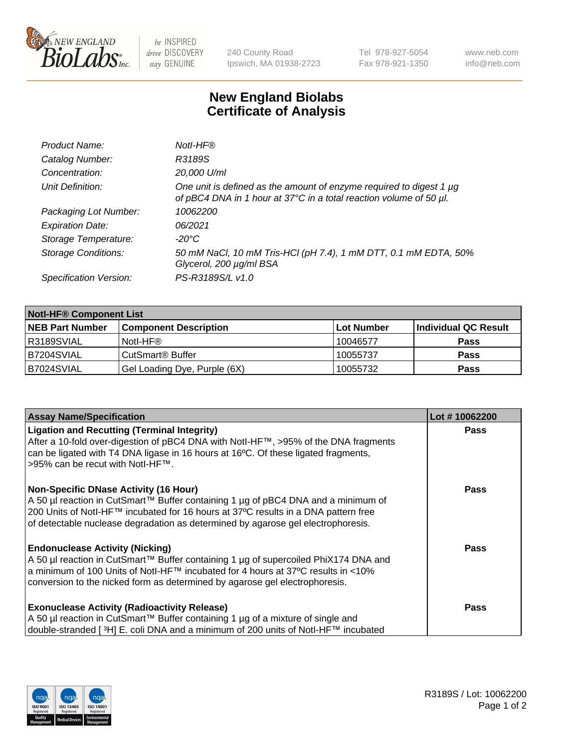

be INSPIRED drive DISCOVERY stay GENUINE

240 County Road Ipswich, MA 01938-2723 Tel 978-927-5054 Fax 978-921-1350 www.neb.com info@neb.com

## **New England Biolabs Certificate of Analysis**

| Product Name:              | Notl-HF®                                                                                                                                  |
|----------------------------|-------------------------------------------------------------------------------------------------------------------------------------------|
| Catalog Number:            | R3189S                                                                                                                                    |
| Concentration:             | 20,000 U/ml                                                                                                                               |
| Unit Definition:           | One unit is defined as the amount of enzyme required to digest 1 µg<br>of pBC4 DNA in 1 hour at 37°C in a total reaction volume of 50 µl. |
| Packaging Lot Number:      | 10062200                                                                                                                                  |
| <b>Expiration Date:</b>    | 06/2021                                                                                                                                   |
| Storage Temperature:       | $-20^{\circ}$ C                                                                                                                           |
| <b>Storage Conditions:</b> | 50 mM NaCl, 10 mM Tris-HCl (pH 7.4), 1 mM DTT, 0.1 mM EDTA, 50%<br>Glycerol, 200 µg/ml BSA                                                |
| Specification Version:     | PS-R3189S/L v1.0                                                                                                                          |

| <b>Notl-HF® Component List</b> |                              |            |                      |  |
|--------------------------------|------------------------------|------------|----------------------|--|
| <b>NEB Part Number</b>         | <b>Component Description</b> | Lot Number | Individual QC Result |  |
| R3189SVIAL                     | Notl-HF®                     | 10046577   | <b>Pass</b>          |  |
| B7204SVIAL                     | CutSmart <sup>®</sup> Buffer | 10055737   | <b>Pass</b>          |  |
| B7024SVIAL                     | Gel Loading Dye, Purple (6X) | 10055732   | <b>Pass</b>          |  |

| <b>Assay Name/Specification</b>                                                                                                                                           | Lot #10062200 |
|---------------------------------------------------------------------------------------------------------------------------------------------------------------------------|---------------|
| <b>Ligation and Recutting (Terminal Integrity)</b>                                                                                                                        | <b>Pass</b>   |
| After a 10-fold over-digestion of pBC4 DNA with Notl-HF™, >95% of the DNA fragments<br>can be ligated with T4 DNA ligase in 16 hours at 16°C. Of these ligated fragments, |               |
| >95% can be recut with Notl-HF™.                                                                                                                                          |               |
|                                                                                                                                                                           |               |
| <b>Non-Specific DNase Activity (16 Hour)</b>                                                                                                                              | <b>Pass</b>   |
| A 50 µl reaction in CutSmart™ Buffer containing 1 µg of pBC4 DNA and a minimum of                                                                                         |               |
| 200 Units of Notl-HF™ incubated for 16 hours at 37°C results in a DNA pattern free<br>of detectable nuclease degradation as determined by agarose gel electrophoresis.    |               |
|                                                                                                                                                                           |               |
| <b>Endonuclease Activity (Nicking)</b>                                                                                                                                    | <b>Pass</b>   |
| A 50 µl reaction in CutSmart™ Buffer containing 1 µg of supercoiled PhiX174 DNA and                                                                                       |               |
| a minimum of 100 Units of Notl-HF™ incubated for 4 hours at 37°C results in <10%                                                                                          |               |
| conversion to the nicked form as determined by agarose gel electrophoresis.                                                                                               |               |
|                                                                                                                                                                           | <b>Pass</b>   |
| <b>Exonuclease Activity (Radioactivity Release)</b><br>A 50 µl reaction in CutSmart™ Buffer containing 1 µg of a mixture of single and                                    |               |
| double-stranded [3H] E. coli DNA and a minimum of 200 units of Notl-HF™ incubated                                                                                         |               |